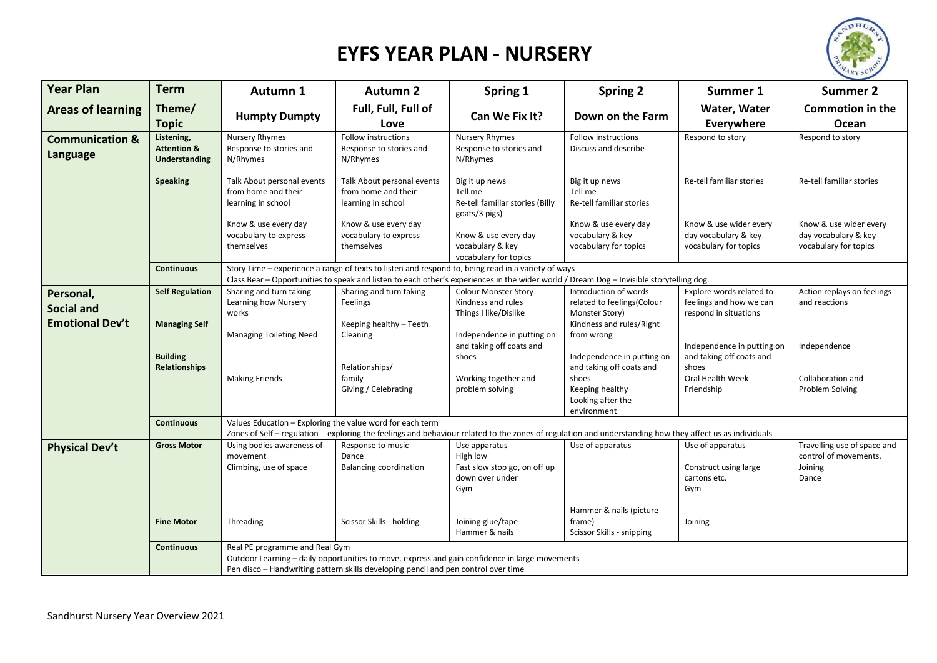

## **EYFS YEAR PLAN - NURSERY**

| <b>Year Plan</b>                       | <b>Term</b>                                                                                                                                                                                                                                | Autumn 1                                                                | <b>Autumn 2</b>                                                                                                                                                                                                                               | Spring 1                                                                              | <b>Spring 2</b>                                                                                                        | Summer 1                                                                     | <b>Summer 2</b>                                                          |
|----------------------------------------|--------------------------------------------------------------------------------------------------------------------------------------------------------------------------------------------------------------------------------------------|-------------------------------------------------------------------------|-----------------------------------------------------------------------------------------------------------------------------------------------------------------------------------------------------------------------------------------------|---------------------------------------------------------------------------------------|------------------------------------------------------------------------------------------------------------------------|------------------------------------------------------------------------------|--------------------------------------------------------------------------|
| <b>Areas of learning</b>               | Theme/<br><b>Topic</b>                                                                                                                                                                                                                     | <b>Humpty Dumpty</b>                                                    | Full, Full, Full of<br>Love                                                                                                                                                                                                                   | Can We Fix It?                                                                        | Down on the Farm                                                                                                       | Water, Water<br>Everywhere                                                   | <b>Commotion in the</b><br>Ocean                                         |
| <b>Communication &amp;</b><br>Language | Listening,<br><b>Attention &amp;</b><br>Understanding                                                                                                                                                                                      | <b>Nursery Rhymes</b><br>Response to stories and<br>N/Rhymes            | Follow instructions<br>Response to stories and<br>N/Rhymes                                                                                                                                                                                    | Nursery Rhymes<br>Response to stories and<br>N/Rhymes                                 | Follow instructions<br>Discuss and describe                                                                            | Respond to story                                                             | Respond to story                                                         |
|                                        | <b>Speaking</b>                                                                                                                                                                                                                            | Talk About personal events<br>from home and their<br>learning in school | Talk About personal events<br>from home and their<br>learning in school                                                                                                                                                                       | Big it up news<br>Tell me<br>Re-tell familiar stories (Billy<br>goats/3 pigs)         | Big it up news<br>Tell me<br>Re-tell familiar stories                                                                  | Re-tell familiar stories                                                     | Re-tell familiar stories                                                 |
|                                        |                                                                                                                                                                                                                                            | Know & use every day<br>vocabulary to express<br>themselves             | Know & use every day<br>vocabulary to express<br>themselves                                                                                                                                                                                   | Know & use every day<br>vocabulary & key<br>vocabulary for topics                     | Know & use every day<br>vocabulary & key<br>vocabulary for topics                                                      | Know & use wider every<br>day vocabulary & key<br>vocabulary for topics      | Know & use wider every<br>day vocabulary & key<br>vocabulary for topics  |
|                                        | <b>Continuous</b>                                                                                                                                                                                                                          |                                                                         | Story Time - experience a range of texts to listen and respond to, being read in a variety of ways<br>Class Bear - Opportunities to speak and listen to each other's experiences in the wider world / Dream Dog - Invisible storytelling dog. |                                                                                       |                                                                                                                        |                                                                              |                                                                          |
| Personal,<br><b>Social and</b>         | <b>Self Regulation</b>                                                                                                                                                                                                                     | Sharing and turn taking<br>Learning how Nursery<br>works                | Sharing and turn taking<br>Feelings                                                                                                                                                                                                           | <b>Colour Monster Story</b><br>Kindness and rules<br>Things I like/Dislike            | Introduction of words<br>related to feelings(Colour<br>Monster Story)                                                  | Explore words related to<br>feelings and how we can<br>respond in situations | Action replays on feelings<br>and reactions                              |
| <b>Emotional Dev't</b>                 | <b>Managing Self</b>                                                                                                                                                                                                                       | <b>Managing Toileting Need</b>                                          | Keeping healthy - Teeth<br>Cleaning                                                                                                                                                                                                           | Independence in putting on<br>and taking off coats and                                | Kindness and rules/Right<br>from wrong                                                                                 | Independence in putting on                                                   | Independence                                                             |
|                                        | <b>Building</b><br>Relationships                                                                                                                                                                                                           | <b>Making Friends</b>                                                   | Relationships/<br>family<br>Giving / Celebrating                                                                                                                                                                                              | shoes<br>Working together and<br>problem solving                                      | Independence in putting on<br>and taking off coats and<br>shoes<br>Keeping healthy<br>Looking after the<br>environment | and taking off coats and<br>shoes<br>Oral Health Week<br>Friendship          | Collaboration and<br>Problem Solving                                     |
|                                        | Values Education - Exploring the value word for each term<br><b>Continuous</b><br>Zones of Self - regulation - exploring the feelings and behaviour related to the zones of regulation and understanding how they affect us as individuals |                                                                         |                                                                                                                                                                                                                                               |                                                                                       |                                                                                                                        |                                                                              |                                                                          |
| <b>Physical Dev't</b>                  | <b>Gross Motor</b>                                                                                                                                                                                                                         | Using bodies awareness of<br>movement<br>Climbing, use of space         | Response to music<br>Dance<br><b>Balancing coordination</b>                                                                                                                                                                                   | Use apparatus -<br>High low<br>Fast slow stop go, on off up<br>down over under<br>Gym | Use of apparatus                                                                                                       | Use of apparatus<br>Construct using large<br>cartons etc.<br>Gym             | Travelling use of space and<br>control of movements.<br>Joining<br>Dance |
|                                        | <b>Fine Motor</b>                                                                                                                                                                                                                          | Threading                                                               | Scissor Skills - holding                                                                                                                                                                                                                      | Joining glue/tape<br>Hammer & nails                                                   | Hammer & nails (picture<br>frame)<br>Scissor Skills - snipping                                                         | Joining                                                                      |                                                                          |
|                                        | Continuous                                                                                                                                                                                                                                 | Real PE programme and Real Gym                                          | Outdoor Learning - daily opportunities to move, express and gain confidence in large movements<br>Pen disco - Handwriting pattern skills developing pencil and pen control over time                                                          |                                                                                       |                                                                                                                        |                                                                              |                                                                          |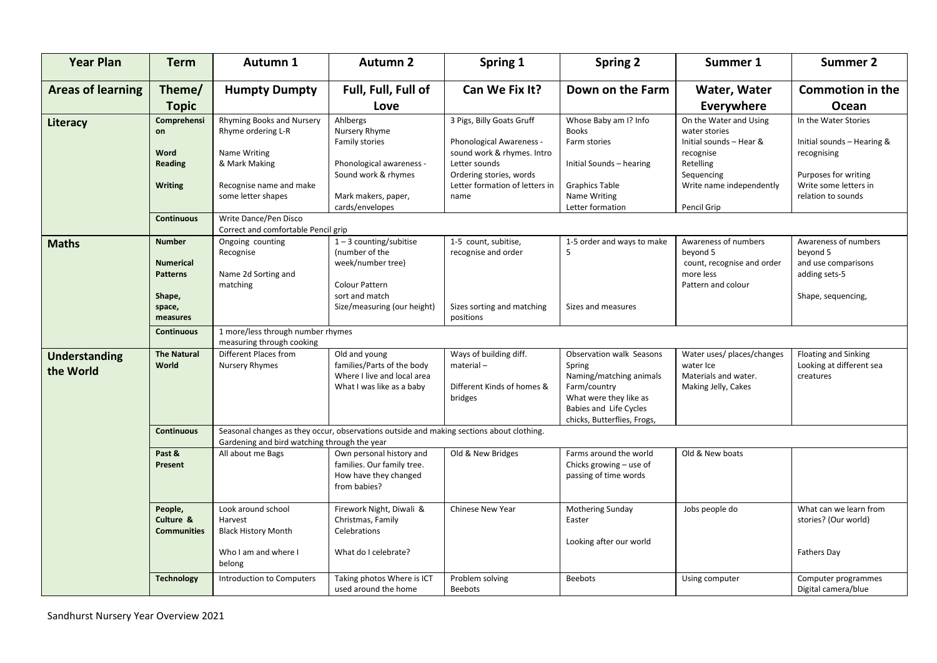| <b>Year Plan</b>                  | <b>Term</b>                                          | Autumn 1                                                                                                                                 | <b>Autumn 2</b>                                                                                         | Spring 1                                                                        | <b>Spring 2</b>                                                                                                                                                  | Summer 1                                                                                          | <b>Summer 2</b>                                                          |  |
|-----------------------------------|------------------------------------------------------|------------------------------------------------------------------------------------------------------------------------------------------|---------------------------------------------------------------------------------------------------------|---------------------------------------------------------------------------------|------------------------------------------------------------------------------------------------------------------------------------------------------------------|---------------------------------------------------------------------------------------------------|--------------------------------------------------------------------------|--|
| <b>Areas of learning</b>          | Theme/                                               | <b>Humpty Dumpty</b>                                                                                                                     | Full, Full, Full of                                                                                     | Can We Fix It?                                                                  | Down on the Farm                                                                                                                                                 | Water, Water                                                                                      | <b>Commotion in the</b>                                                  |  |
|                                   | <b>Topic</b>                                         |                                                                                                                                          | Love                                                                                                    |                                                                                 |                                                                                                                                                                  | Everywhere                                                                                        | Ocean                                                                    |  |
| Literacy                          | Comprehensi<br>on                                    | <b>Rhyming Books and Nursery</b><br>Rhyme ordering L-R                                                                                   | Ahlbergs<br>Nursery Rhyme<br>Family stories                                                             | 3 Pigs, Billy Goats Gruff<br>Phonological Awareness -                           | Whose Baby am I? Info<br><b>Books</b><br>Farm stories                                                                                                            | On the Water and Using<br>water stories<br>Initial sounds - Hear &                                | In the Water Stories<br>Initial sounds - Hearing &                       |  |
|                                   | Word<br><b>Reading</b>                               | Name Writing<br>& Mark Making                                                                                                            | Phonological awareness -<br>Sound work & rhymes                                                         | sound work & rhymes. Intro<br>Letter sounds<br>Ordering stories, words          | Initial Sounds - hearing                                                                                                                                         | recognise<br>Retelling<br>Sequencing                                                              | recognising<br>Purposes for writing                                      |  |
|                                   | <b>Writing</b>                                       | Recognise name and make<br>some letter shapes                                                                                            | Mark makers, paper,<br>cards/envelopes                                                                  | Letter formation of letters in<br>name                                          | <b>Graphics Table</b><br>Name Writing<br>Letter formation                                                                                                        | Write name independently<br>Pencil Grip                                                           | Write some letters in<br>relation to sounds                              |  |
|                                   | <b>Continuous</b>                                    | Write Dance/Pen Disco<br>Correct and comfortable Pencil grip                                                                             |                                                                                                         |                                                                                 |                                                                                                                                                                  |                                                                                                   |                                                                          |  |
| <b>Maths</b>                      | <b>Number</b><br><b>Numerical</b><br><b>Patterns</b> | Ongoing counting<br>Recognise<br>Name 2d Sorting and<br>matching                                                                         | $1 - 3$ counting/subitise<br>(number of the<br>week/number tree)<br>Colour Pattern                      | 1-5 count, subitise,<br>recognise and order                                     | 1-5 order and ways to make<br>5                                                                                                                                  | Awareness of numbers<br>beyond 5<br>count, recognise and order<br>more less<br>Pattern and colour | Awareness of numbers<br>beyond 5<br>and use comparisons<br>adding sets-5 |  |
|                                   | Shape,<br>space,<br>measures                         |                                                                                                                                          | sort and match<br>Size/measuring (our height)                                                           | Sizes sorting and matching<br>positions                                         | Sizes and measures                                                                                                                                               |                                                                                                   | Shape, sequencing,                                                       |  |
|                                   | <b>Continuous</b>                                    | 1 more/less through number rhymes<br>measuring through cooking                                                                           |                                                                                                         |                                                                                 |                                                                                                                                                                  |                                                                                                   |                                                                          |  |
| <b>Understanding</b><br>the World | <b>The Natural</b><br>World                          | Different Places from<br>Nursery Rhymes                                                                                                  | Old and young<br>families/Parts of the body<br>Where I live and local area<br>What I was like as a baby | Ways of building diff.<br>$material -$<br>Different Kinds of homes &<br>bridges | Observation walk Seasons<br>Spring<br>Naming/matching animals<br>Farm/country<br>What were they like as<br>Babies and Life Cycles<br>chicks, Butterflies, Frogs, | Water uses/places/changes<br>water Ice<br>Materials and water.<br>Making Jelly, Cakes             | <b>Floating and Sinking</b><br>Looking at different sea<br>creatures     |  |
|                                   | <b>Continuous</b>                                    | Seasonal changes as they occur, observations outside and making sections about clothing.<br>Gardening and bird watching through the year |                                                                                                         |                                                                                 |                                                                                                                                                                  |                                                                                                   |                                                                          |  |
|                                   | Past &<br>Present                                    | All about me Bags                                                                                                                        | Own personal history and<br>families. Our family tree.<br>How have they changed<br>from babies?         | Old & New Bridges                                                               | Farms around the world<br>Chicks growing - use of<br>passing of time words                                                                                       | Old & New boats                                                                                   |                                                                          |  |
|                                   | People,<br>Culture &<br><b>Communities</b>           | Look around school<br>Harvest<br><b>Black History Month</b>                                                                              | Firework Night, Diwali &<br>Christmas, Family<br>Celebrations                                           | Chinese New Year                                                                | Mothering Sunday<br>Easter<br>Looking after our world                                                                                                            | Jobs people do                                                                                    | What can we learn from<br>stories? (Our world)                           |  |
|                                   |                                                      | Who I am and where I<br>belong                                                                                                           | What do I celebrate?                                                                                    |                                                                                 |                                                                                                                                                                  |                                                                                                   | Fathers Day                                                              |  |
|                                   | <b>Technology</b>                                    | Introduction to Computers                                                                                                                | Taking photos Where is ICT<br>used around the home                                                      | Problem solving<br><b>Beebots</b>                                               | <b>Beebots</b>                                                                                                                                                   | Using computer                                                                                    | Computer programmes<br>Digital camera/blue                               |  |